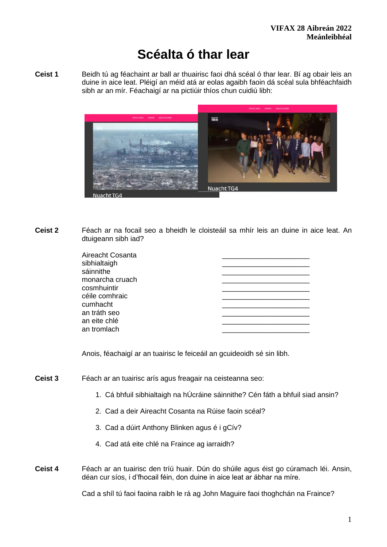# **Scéalta ó thar lear**

**Ceist 1** Beidh tú ag féachaint ar ball ar thuairisc faoi dhá scéal ó thar lear. Bí ag obair leis an duine in aice leat. Pléigí an méid atá ar eolas agaibh faoin dá scéal sula bhféachfaidh sibh ar an mír. Féachaigí ar na pictiúir thíos chun cuidiú libh:



**Ceist 2** Féach ar na focail seo a bheidh le cloisteáil sa mhír leis an duine in aice leat. An dtuigeann sibh iad?

| Aireacht Cosanta |  |
|------------------|--|
| sibhialtaigh     |  |
| sáinnithe        |  |
| monarcha cruach  |  |
| cosmhuintir      |  |
| céile comhraic   |  |
| cumhacht         |  |
| an tráth seo     |  |
| an eite chlé     |  |
| an tromlach      |  |
|                  |  |

Anois, féachaigí ar an tuairisc le feiceáil an gcuideoidh sé sin libh.

- **Ceist 3** Féach ar an tuairisc arís agus freagair na ceisteanna seo:
	- 1. Cá bhfuil sibhialtaigh na hÚcráine sáinnithe? Cén fáth a bhfuil siad ansin?
	- 2. Cad a deir Aireacht Cosanta na Rúise faoin scéal?
	- 3. Cad a dúirt Anthony Blinken agus é i gCív?
	- 4. Cad atá eite chlé na Fraince ag iarraidh?
- **Ceist 4** Féach ar an tuairisc den tríú huair. Dún do shúile agus éist go cúramach léi. Ansin, déan cur síos, i d'fhocail féin, don duine in aice leat ar ábhar na míre.

Cad a shíl tú faoi faoina raibh le rá ag John Maguire faoi thoghchán na Fraince?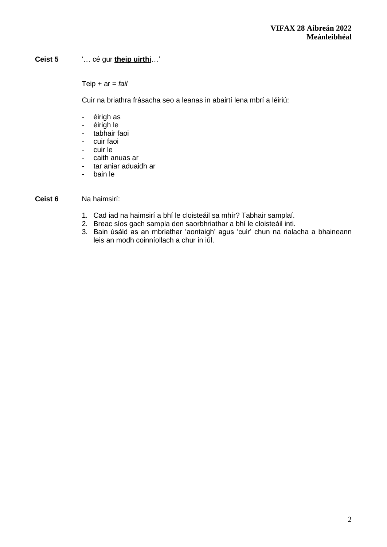# **Ceist 5** '… cé gur **theip uirthi**…'

Teip + ar = *fail*

Cuir na briathra frásacha seo a leanas in abairtí lena mbrí a léiriú:

- éirigh as
- éirigh le
- tabhair faoi
- cuir faoi
- cuir le
- caith anuas ar
- tar aniar aduaidh ar
- bain le

#### **Ceist 6** Na haimsirí:

- 1. Cad iad na haimsirí a bhí le cloisteáil sa mhír? Tabhair samplaí.
- 2. Breac síos gach sampla den saorbhriathar a bhí le cloisteáil inti.
- 3. Bain úsáid as an mbriathar 'aontaigh' agus 'cuir' chun na rialacha a bhaineann leis an modh coinníollach a chur in iúl.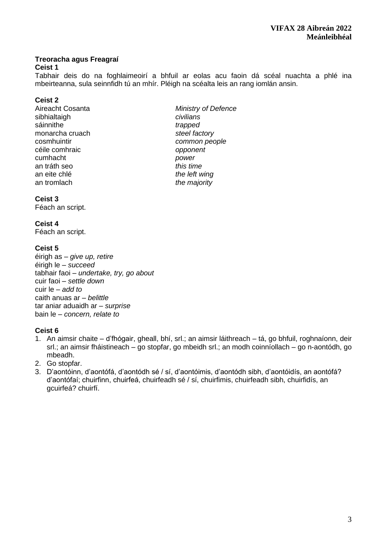# **Treoracha agus Freagraí**

## **Ceist 1**

Tabhair deis do na foghlaimeoirí a bhfuil ar eolas acu faoin dá scéal nuachta a phlé ina mbeirteanna, sula seinnfidh tú an mhír. Pléigh na scéalta leis an rang iomlán ansin.

## **Ceist 2**

- sibhialtaigh *civilians* sáinnithe *trapped* monarcha cruach *steel factory*  cosmhuintir *common people* céile comhraic *opponent*  cumhacht *power* an tráth seo *this time* an tromlach *the majority*
- Aireacht Cosanta *Ministry of Defence* the left wing

## **Ceist 3**

Féach an script.

## **Ceist 4**

Féach an script.

# **Ceist 5**

éirigh as – *give up, retire* éirigh le – *succeed* tabhair faoi – *undertake, try, go about* cuir faoi – *settle down* cuir le – *add to* caith anuas ar – *belittle*  tar aniar aduaidh ar – *surprise*  bain le – *concern, relate to*

# **Ceist 6**

- 1. An aimsir chaite d'fhógair, gheall, bhí, srl.; an aimsir láithreach tá, go bhfuil, roghnaíonn, deir srl.; an aimsir fháistineach – go stopfar, go mbeidh srl.; an modh coinníollach – go n-aontódh, go mbeadh.
- 2. Go stopfar.
- 3. D'aontóinn, d'aontófá, d'aontódh sé / sí, d'aontóimis, d'aontódh sibh, d'aontóidís, an aontófá? d'aontófaí; chuirfinn, chuirfeá, chuirfeadh sé / sí, chuirfimis, chuirfeadh sibh, chuirfidís, an gcuirfeá? chuirfí.